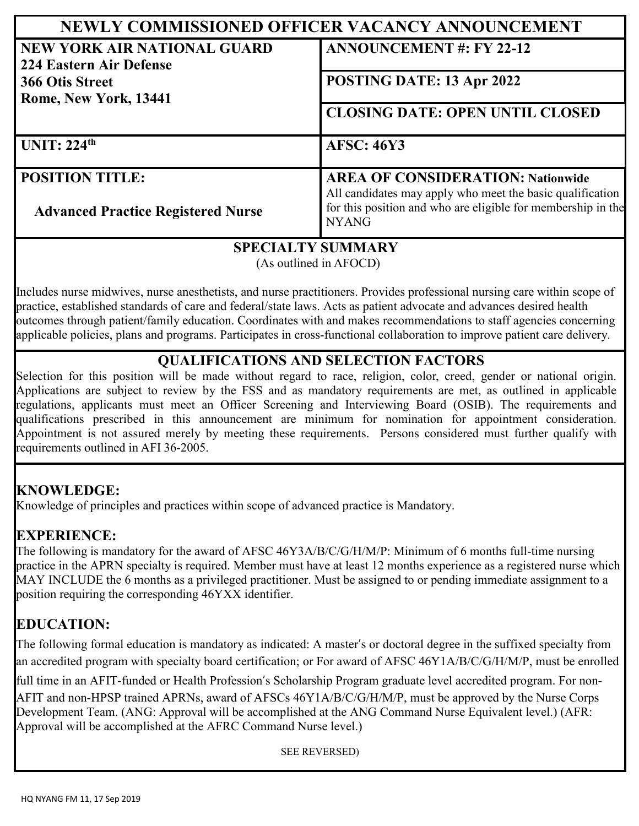| NEWLY COMMISSIONED OFFICER VACANCY ANNOUNCEMENT               |                                                                                                                                           |
|---------------------------------------------------------------|-------------------------------------------------------------------------------------------------------------------------------------------|
| <b>NEW YORK AIR NATIONAL GUARD</b><br>224 Eastern Air Defense | <b>ANNOUNCEMENT #: FY 22-12</b>                                                                                                           |
| 366 Otis Street<br>Rome, New York, 13441                      | POSTING DATE: 13 Apr 2022                                                                                                                 |
|                                                               | <b>CLOSING DATE: OPEN UNTIL CLOSED</b>                                                                                                    |
| UNIT: $224th$                                                 | <b>AFSC: 46Y3</b>                                                                                                                         |
| <b>POSITION TITLE:</b>                                        | <b>AREA OF CONSIDERATION: Nationwide</b>                                                                                                  |
| <b>Advanced Practice Registered Nurse</b>                     | All candidates may apply who meet the basic qualification<br>for this position and who are eligible for membership in the<br><b>NYANG</b> |

#### **SPECIALTY SUMMARY**

(As outlined in AFOCD)

Includes nurse midwives, nurse anesthetists, and nurse practitioners. Provides professional nursing care within scope of practice, established standards of care and federal/state laws. Acts as patient advocate and advances desired health outcomes through patient/family education. Coordinates with and makes recommendations to staff agencies concerning applicable policies, plans and programs. Participates in cross-functional collaboration to improve patient care delivery.

## **QUALIFICATIONS AND SELECTION FACTORS**

Selection for this position will be made without regard to race, religion, color, creed, gender or national origin. Applications are subject to review by the FSS and as mandatory requirements are met, as outlined in applicable regulations, applicants must meet an Officer Screening and Interviewing Board (OSIB). The requirements and qualifications prescribed in this announcement are minimum for nomination for appointment consideration. Appointment is not assured merely by meeting these requirements. Persons considered must further qualify with requirements outlined in AFI 36-2005.

## **KNOWLEDGE:**

Knowledge of principles and practices within scope of advanced practice is Mandatory.

Approval will be accomplished at the AFRC Command Nurse level.)

#### **EXPERIENCE:**

The following is mandatory for the award of AFSC 46Y3A/B/C/G/H/M/P: Minimum of 6 months full-time nursing practice in the APRN specialty is required. Member must have at least 12 months experience as a registered nurse which MAY INCLUDE the 6 months as a privileged practitioner. Must be assigned to or pending immediate assignment to a position requiring the corresponding 46YXX identifier.

# **EDUCATION:**

The following formal education is mandatory as indicated: A master's or doctoral degree in the suffixed specialty from an accredited program with specialty board certification; or For award of AFSC 46Y1A/B/C/G/H/M/P, must be enrolled full time in an AFIT-funded or Health Profession's Scholarship Program graduate level accredited program. For non-AFIT and non-HPSP trained APRNs, award of AFSCs 46Y1A/B/C/G/H/M/P, must be approved by the Nurse Corps Development Team. (ANG: Approval will be accomplished at the ANG Command Nurse Equivalent level.) (AFR:

SEE REVERSED)